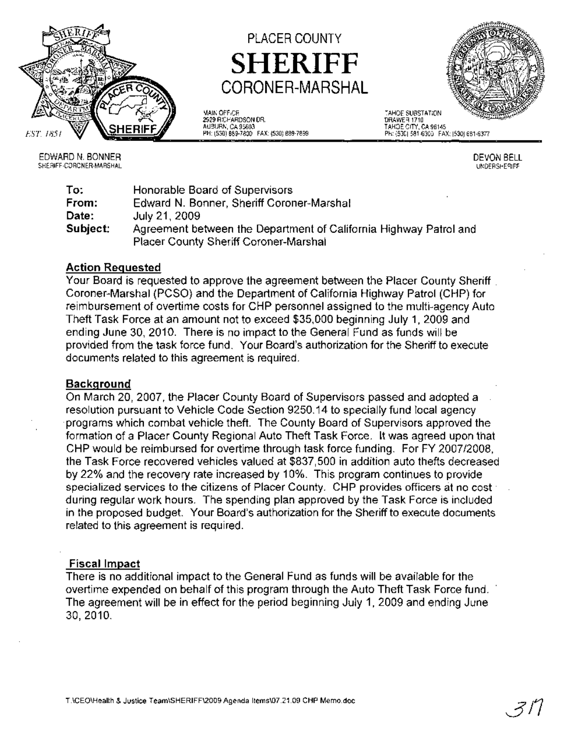

# PLACER COUNTY SHERIFF CORONER-MARSHAL

MAIN OFFICE 2929 RICHARDSON DR. AUBURN, CA 95603 PH: (530) 889-7800 FAX: (530) 889-7899



EDWARD N. BONNER SHERIFF-CORONER-MARSHAL DEVON BELL UNDERSHERIFF

| To:      | Honorable Board of Supervisors                                    |
|----------|-------------------------------------------------------------------|
| From:    | Edward N. Bonner, Sheriff Coroner-Marshal                         |
| Date:    | July 21, 2009                                                     |
| Subject: | Agreement between the Department of California Highway Patrol and |
|          | <b>Placer County Sheriff Coroner-Marshal</b>                      |

## Action Requested

Your Board is requested to approve the agreement between the Placer County Sheriff . Coroner-Marshal (PCSO) and the Department of California Highway Patrol (CHP) for reimbursement of overtime costs for CHP personnel assigned to the multi-agency Auto Theft Task Force at an amount not to exceed \$35,000 beginning July 1, 2009 and ending June 30, 2010. There is no impact to the General Fund as funds will be provided from the task force fund. Your Board's authorization for the Sheriff to execute documents related to this agreement is required.

## **Background**

On March 20,2007, the Placer County Board of Supervisors passed and adopted a resolution pursuant to Vehicle Code Section 9250.14 to specially fund local agency .programs which combat vehicle theft. The County Board of Supervisors approved the formation of a Placer County Regional Auto Theft Task Force. It was agreed upon that CHP would be reimbursed for overtime through task force funding. For FY *2007/2008,* the Task Force recovered vehicles valued at \$837,500 in addition auto thefts decreased by 22% and the recovery rate increased by 10%. This program continues to provide specialized services to the citizens of Placer County. CHP provides officers at no cost : during regular work hours. The spending plan approved by the Task Force is included in the proposed budget. Your Board's authorization for the Sheriff to execute documents related to this agreement is required.

## Fiscal Impact

There is no additional impact to the General Fund as funds will be available for the overtime expended on behalf of this program through the Auto Theft Task Force fund. The agreement will be in effect for the period beginning July 1, 2009 and ending June 30,2010.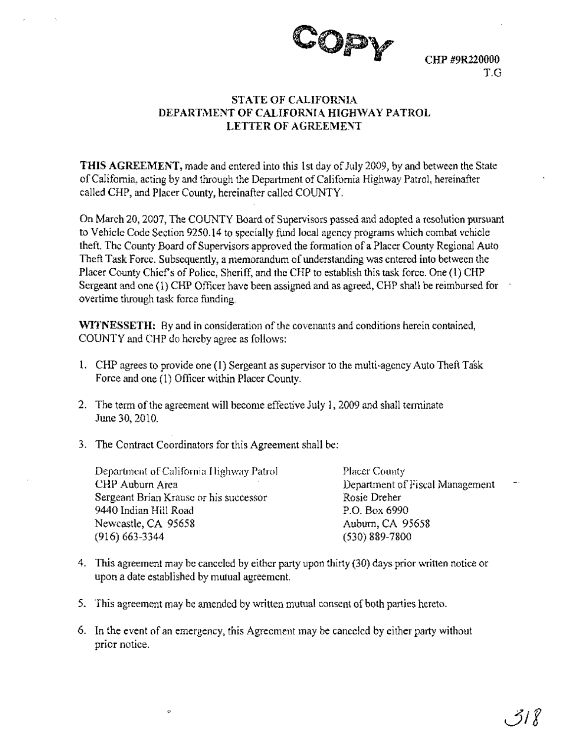

CHP #9R220000 T.G

## STATE OF CALIFORNIA DEPARTMENT OF CALIFORNIA HIGHWAY PATROL LETTER OF AGREEMENT

THIS AGREEMENT, made and entered into this 1st day of July 2009, by and between the State ofCalifornia, acting by and through the Department ofCalifornia Highway Patrol, hereinafter called CHP, and Placer County, hereinafter called COUNTY.

On March 20, 2007, The COUNTY Board of Supervisors passed and adopted a resolution pursuant to Vehicle Code Section 9250.14 to specially fund local agency programs which combat vehicle theft. The County Board of Supervisors approved the formation of a Placer County Regional Auto Theft Task Force. Subsequently, a memorandum of understanding was entered into between the Placer County Chief's of Police, Sheriff, and the CHP to establish this task force. One (1) CHP Sergeant and one (1) CHP Officer have been assigned and as agreed, CHP shall be reimbursed for overtime through task force funding.

WITNESSETH: By and in consideration of the covenants and conditions herein contained, COUNTY and CHP do hereby agree as follows:

- 1. CHP agrees to provide one (1) Sergeant as supervisor to the multi-agency Auto Theft Task Force and one (1) Officer within Placer County.
- 2. The term of the agreement will become effective July 1, 2009 and shall terminate June 30, 2010.
- 3. The Contract Coordinators for this Agreement shall be:

Department of California Highway Patrol CHP Auburn Area· Sergeant Brian Krause or his successor 9440 Indian Hill Road Newcastle, CA 95658 (916) 663-3344

o

Placer County Department of Fiscal Management Rosie Dreher P.O. Box 6990 Auburn, CA 95658 (530) 889-7800

- 4. This agreement may be canceled by either party upon thirty (30) days prior written notice or upon a date established by mutual agreement.
- 5. This agreement may be amended by written mutual consent of both parties hereto.
- 6. In the event of an emergency, this Agreement may be canceled by either party without prior notice.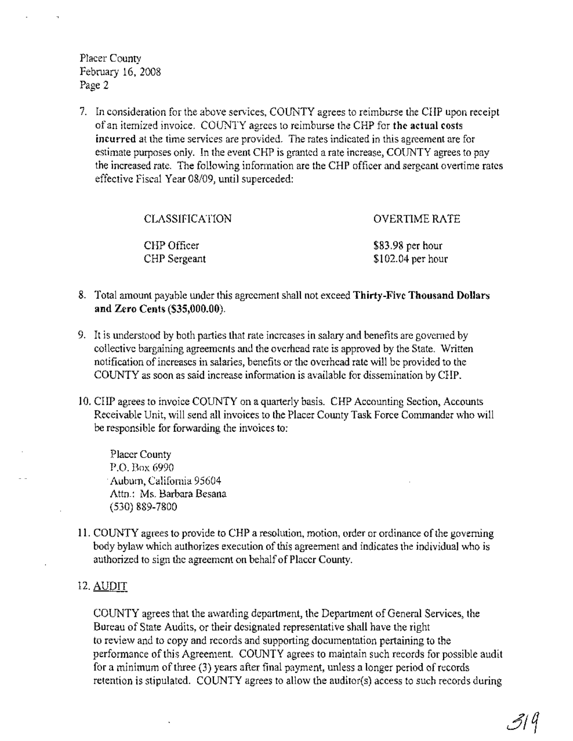#### Placer County February 16, 2008 Page 2

7. In consideration for the above services, COUNTY agrees to reimburse the CHP upon receipt of an itemized invoice. COUNTY agrees to reimburse the CHP for the actual costs incurred at the time services are provided. The rates indicated in this agreement are for estimate purposes only. In the event CHP is granted a rate increase, COUNTY agrees to pay the increased rate. The following infonnation are the CHP officer and sergeant overtime rates effective Fiscal Year *08/09,* until superceded:

| <b>CLASSIFICATION</b> | OVERTIME RATE      |
|-----------------------|--------------------|
| CHP Officer           | $$83.98$ per hour  |
| CHP Sergeant          | $$102.04$ per hour |

- 8. Total amount payable under this agreement shall not exceed Thirty-Five Thousand Dollars and Zero Cents (\$35,000.00).
- 9. It is understood by both parties that rate increases in salary and benefits are govemed by collective bargaining agreements and the overhead rate is approved by the State. Written notification of increases in salaries, benefits or the overhead rate will be provided to the COUNTY as soon as said increase information is available for dissemination by CHP.
- 10. CHP agrees to invoice COUNTY on a quarterly basis. CHP Accounting Section, Accounts Receivable Unit, will send all invoices to the Placer County Task Force Commander who will be responsible for forwarding the invoices to:

Placer County P.O. Box 6990 Aubum, California 95604 Attn.: Ms. Barbara Besana (530) 889-7800

11. COUNTY agrees to provide to CHP a resolution, motion, order or ordinance ofthe governing body bylaw which authorizes execution of this agreement and indicates the individual who is authorized to sign the agreement on behalfofPlacer County.

#### 12. AUDIT

COUNTY agrees that the awarding department, the Department of General Services, the Bureau of State Audits, or their designated representative shall have the right to review and to copy and records and supporting documentation pertaining to the performance ofthis Agreement. COUNTY agrees to maintain such records for possible audit for a minimum of three (3) years after final payment, unless a longer period of records retention is stipulated. COUNTY agrees to allow the auditor(s) access to such records during

319